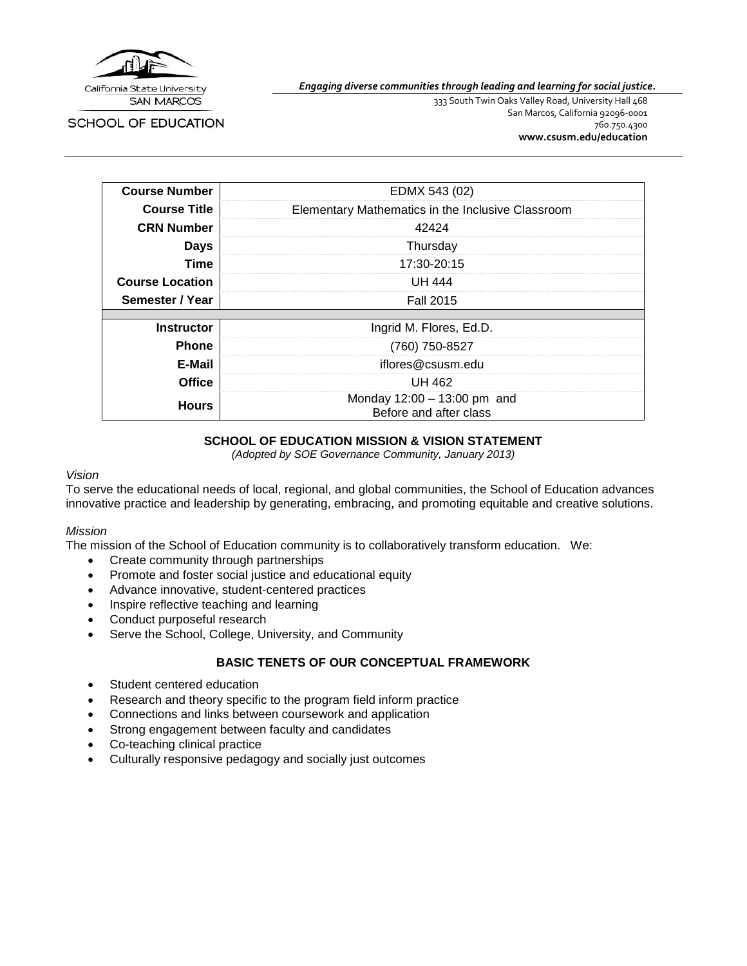

SCHOOL OF EDUCATION

*Engaging diverse communities through leading and learning for social justice.*

333 South Twin Oaks Valley Road, University Hall 468 San Marcos, California 92096-0001 760.750.4300 **[www.csusm.edu/education](http://www.csusm.edu/education)**

| <b>Course Number</b>   | EDMX 543 (02)                                           |
|------------------------|---------------------------------------------------------|
| <b>Course Title</b>    | Elementary Mathematics in the Inclusive Classroom       |
| <b>CRN Number</b>      | 42424                                                   |
| <b>Days</b>            | Thursday                                                |
| <b>Time</b>            | 17:30-20:15                                             |
| <b>Course Location</b> | UH 444                                                  |
| Semester / Year        | <b>Fall 2015</b>                                        |
|                        |                                                         |
| <b>Instructor</b>      | Ingrid M. Flores, Ed.D.                                 |
| <b>Phone</b>           | (760) 750-8527                                          |
| E-Mail                 | iflores@csusm.edu                                       |
| <b>Office</b>          | UH 462                                                  |
| <b>Hours</b>           | Monday $12:00 - 13:00$ pm and<br>Before and after class |

#### **SCHOOL OF EDUCATION MISSION & VISION STATEMENT**

*(Adopted by SOE Governance Community, January 2013)*

#### *Vision*

To serve the educational needs of local, regional, and global communities, the School of Education advances innovative practice and leadership by generating, embracing, and promoting equitable and creative solutions.

#### *Mission*

The mission of the School of Education community is to collaboratively transform education. We:

- Create community through partnerships
- Promote and foster social justice and educational equity
- Advance innovative, student-centered practices
- Inspire reflective teaching and learning
- Conduct purposeful research
- Serve the School, College, University, and Community

#### **BASIC TENETS OF OUR CONCEPTUAL FRAMEWORK**

- Student centered education
- Research and theory specific to the program field inform practice
- Connections and links between coursework and application
- Strong engagement between faculty and candidates
- Co-teaching clinical practice
- Culturally responsive pedagogy and socially just outcomes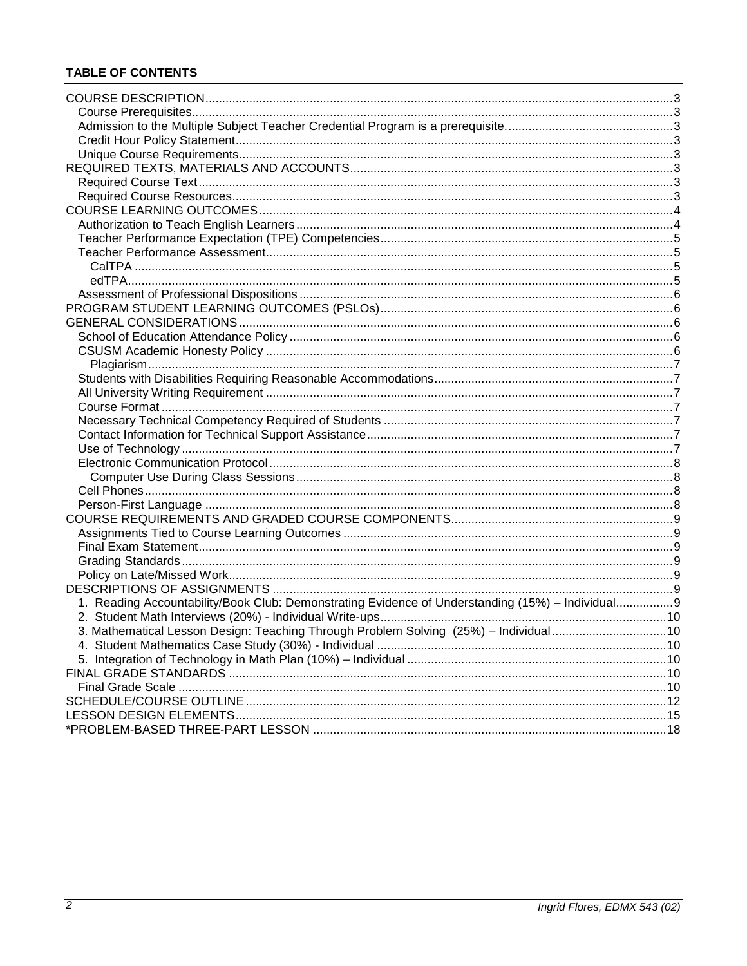# **TABLE OF CONTENTS**

| 1. Reading Accountability/Book Club: Demonstrating Evidence of Understanding (15%) - Individual9 |  |
|--------------------------------------------------------------------------------------------------|--|
|                                                                                                  |  |
| 3. Mathematical Lesson Design: Teaching Through Problem Solving (25%) - Individual10             |  |
|                                                                                                  |  |
|                                                                                                  |  |
|                                                                                                  |  |
|                                                                                                  |  |
|                                                                                                  |  |
|                                                                                                  |  |
|                                                                                                  |  |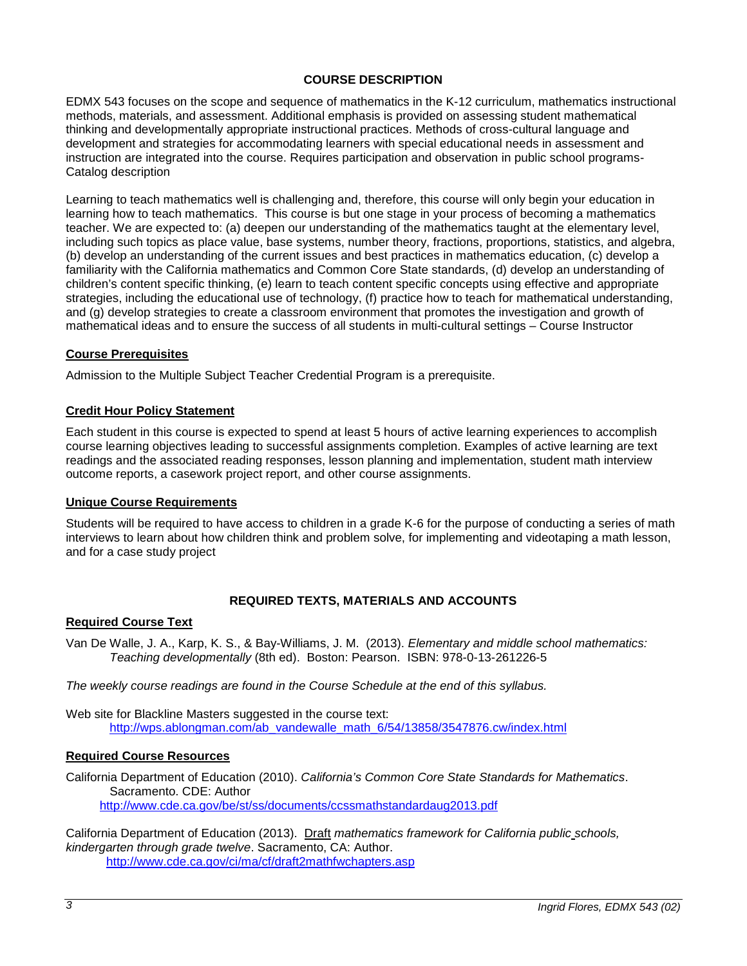# **COURSE DESCRIPTION**

<span id="page-2-0"></span>EDMX 543 focuses on the scope and sequence of mathematics in the K-12 curriculum, mathematics instructional methods, materials, and assessment. Additional emphasis is provided on assessing student mathematical thinking and developmentally appropriate instructional practices. Methods of cross-cultural language and development and strategies for accommodating learners with special educational needs in assessment and instruction are integrated into the course. Requires participation and observation in public school programs-Catalog description

Learning to teach mathematics well is challenging and, therefore, this course will only begin your education in learning how to teach mathematics. This course is but one stage in your process of becoming a mathematics teacher. We are expected to: (a) deepen our understanding of the mathematics taught at the elementary level, including such topics as place value, base systems, number theory, fractions, proportions, statistics, and algebra, (b) develop an understanding of the current issues and best practices in mathematics education, (c) develop a familiarity with the California mathematics and Common Core State standards, (d) develop an understanding of children's content specific thinking, (e) learn to teach content specific concepts using effective and appropriate strategies, including the educational use of technology, (f) practice how to teach for mathematical understanding, and (g) develop strategies to create a classroom environment that promotes the investigation and growth of mathematical ideas and to ensure the success of all students in multi-cultural settings – Course Instructor

### <span id="page-2-1"></span>**Course Prerequisites**

<span id="page-2-2"></span>Admission to the Multiple Subject Teacher Credential Program is a prerequisite.

### <span id="page-2-3"></span>**Credit Hour Policy Statement**

Each student in this course is expected to spend at least 5 hours of active learning experiences to accomplish course learning objectives leading to successful assignments completion. Examples of active learning are text readings and the associated reading responses, lesson planning and implementation, student math interview outcome reports, a casework project report, and other course assignments.

#### <span id="page-2-4"></span>**Unique Course Requirements**

Students will be required to have access to children in a grade K-6 for the purpose of conducting a series of math interviews to learn about how children think and problem solve, for implementing and videotaping a math lesson, and for a case study project

# **REQUIRED TEXTS, MATERIALS AND ACCOUNTS**

### <span id="page-2-6"></span><span id="page-2-5"></span>**Required Course Text**

Van De Walle, J. A., Karp, K. S., & Bay-Williams, J. M. (2013). *Elementary and middle school mathematics: Teaching developmentally* (8th ed). Boston: Pearson. ISBN: 978-0-13-261226-5

*The weekly course readings are found in the Course Schedule at the end of this syllabus.*

Web site for Blackline Masters suggested in the course text: [http://wps.ablongman.com/ab\\_vandewalle\\_math\\_6/54/13858/3547876.cw/index.html](http://wps.ablongman.com/ab_vandewalle_math_6/54/13858/3547876.cw/index.html)

#### <span id="page-2-7"></span>**Required Course Resources**

California Department of Education (2010). *California's Common Core State Standards for Mathematics*. Sacramento. CDE: Author <http://www.cde.ca.gov/be/st/ss/documents/ccssmathstandardaug2013.pdf>

California Department of Education (2013). Draft *mathematics framework for California public schools, kindergarten through grade twelve*. Sacramento, CA: Author. <http://www.cde.ca.gov/ci/ma/cf/draft2mathfwchapters.asp>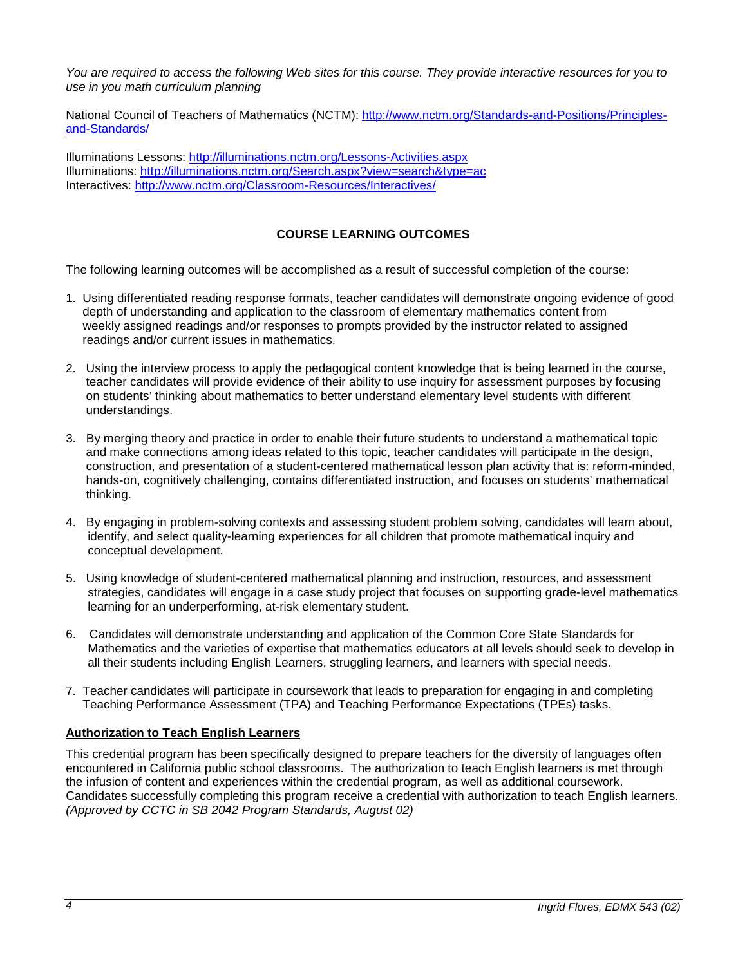*You are required to access the following Web sites for this course. They provide interactive resources for you to use in you math curriculum planning*

National Council of Teachers of Mathematics (NCTM): [http://www.nctm.org/Standards-and-Positions/Principles](http://www.nctm.org/Standards-and-Positions/Principles-and-Standards/)[and-Standards/](http://www.nctm.org/Standards-and-Positions/Principles-and-Standards/)

Illuminations Lessons:<http://illuminations.nctm.org/Lessons-Activities.aspx> Illuminations:<http://illuminations.nctm.org/Search.aspx?view=search&type=ac> Interactives:<http://www.nctm.org/Classroom-Resources/Interactives/>

# **COURSE LEARNING OUTCOMES**

<span id="page-3-0"></span>The following learning outcomes will be accomplished as a result of successful completion of the course:

- 1. Using differentiated reading response formats, teacher candidates will demonstrate ongoing evidence of good depth of understanding and application to the classroom of elementary mathematics content from weekly assigned readings and/or responses to prompts provided by the instructor related to assigned readings and/or current issues in mathematics.
- 2. Using the interview process to apply the pedagogical content knowledge that is being learned in the course, teacher candidates will provide evidence of their ability to use inquiry for assessment purposes by focusing on students' thinking about mathematics to better understand elementary level students with different understandings.
- 3. By merging theory and practice in order to enable their future students to understand a mathematical topic and make connections among ideas related to this topic, teacher candidates will participate in the design, construction, and presentation of a student-centered mathematical lesson plan activity that is: reform-minded, hands-on, cognitively challenging, contains differentiated instruction, and focuses on students' mathematical thinking.
- 4. By engaging in problem-solving contexts and assessing student problem solving, candidates will learn about, identify, and select quality-learning experiences for all children that promote mathematical inquiry and conceptual development.
- 5. Using knowledge of student-centered mathematical planning and instruction, resources, and assessment strategies, candidates will engage in a case study project that focuses on supporting grade-level mathematics learning for an underperforming, at-risk elementary student.
- 6. Candidates will demonstrate understanding and application of the Common Core State Standards for Mathematics and the varieties of expertise that mathematics educators at all levels should seek to develop in all their students including English Learners, struggling learners, and learners with special needs.
- 7. Teacher candidates will participate in coursework that leads to preparation for engaging in and completing Teaching Performance Assessment (TPA) and Teaching Performance Expectations (TPEs) tasks.

# <span id="page-3-1"></span>**Authorization to Teach English Learners**

This credential program has been specifically designed to prepare teachers for the diversity of languages often encountered in California public school classrooms. The authorization to teach English learners is met through the infusion of content and experiences within the credential program, as well as additional coursework. Candidates successfully completing this program receive a credential with authorization to teach English learners. *(Approved by CCTC in SB 2042 Program Standards, August 02)*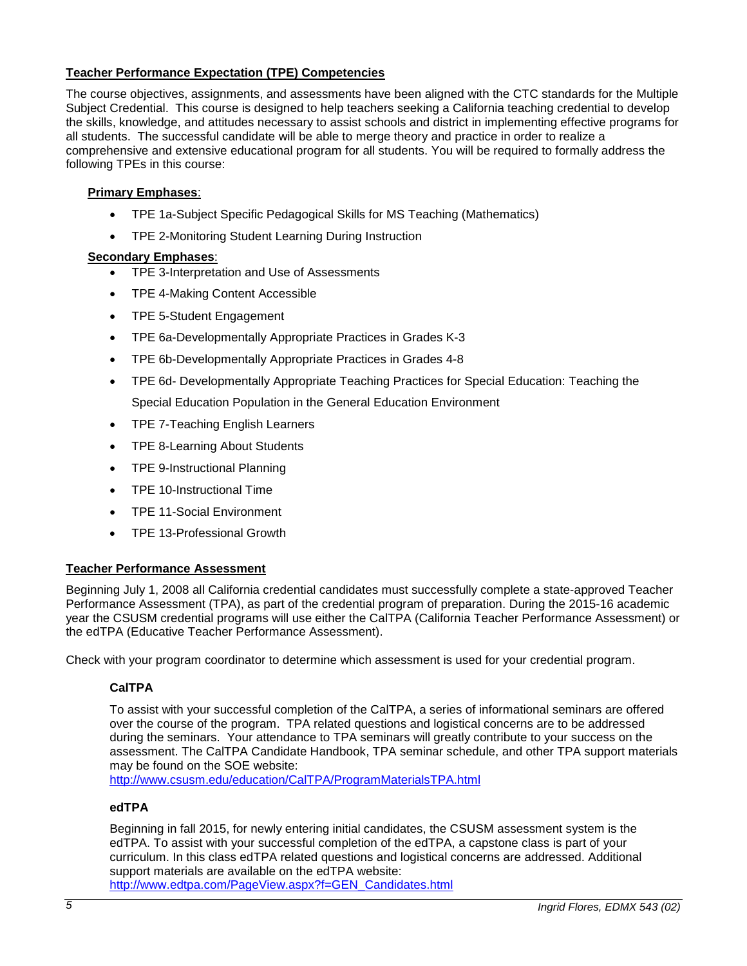# <span id="page-4-0"></span>**Teacher Performance Expectation (TPE) Competencies**

The course objectives, assignments, and assessments have been aligned with the CTC standards for the Multiple Subject Credential. This course is designed to help teachers seeking a California teaching credential to develop the skills, knowledge, and attitudes necessary to assist schools and district in implementing effective programs for all students. The successful candidate will be able to merge theory and practice in order to realize a comprehensive and extensive educational program for all students. You will be required to formally address the following TPEs in this course:

# **Primary Emphases**:

- TPE 1a-Subject Specific Pedagogical Skills for MS Teaching (Mathematics)
- TPE 2-Monitoring Student Learning During Instruction

# **Secondary Emphases**:

- TPE 3-Interpretation and Use of Assessments
- TPE 4-Making Content Accessible
- TPE 5-Student Engagement
- TPE 6a-Developmentally Appropriate Practices in Grades K-3
- TPE 6b-Developmentally Appropriate Practices in Grades 4-8
- TPE 6d- Developmentally Appropriate Teaching Practices for Special Education: Teaching the Special Education Population in the General Education Environment
- TPE 7-Teaching English Learners
- TPE 8-Learning About Students
- TPE 9-Instructional Planning
- TPE 10-Instructional Time
- TPE 11-Social Environment
- TPE 13-Professional Growth

# <span id="page-4-1"></span>**Teacher Performance Assessment**

Beginning July 1, 2008 all California credential candidates must successfully complete a state-approved Teacher Performance Assessment (TPA), as part of the credential program of preparation. During the 2015-16 academic year the CSUSM credential programs will use either the CalTPA (California Teacher Performance Assessment) or the edTPA (Educative Teacher Performance Assessment).

<span id="page-4-2"></span>Check with your program coordinator to determine which assessment is used for your credential program.

# **CalTPA**

To assist with your successful completion of the CalTPA, a series of informational seminars are offered over the course of the program. TPA related questions and logistical concerns are to be addressed during the seminars. Your attendance to TPA seminars will greatly contribute to your success on the assessment. The CalTPA Candidate Handbook, TPA seminar schedule, and other TPA support materials may be found on the SOE website:

<http://www.csusm.edu/education/CalTPA/ProgramMaterialsTPA.html>

# <span id="page-4-3"></span>**edTPA**

Beginning in fall 2015, for newly entering initial candidates, the CSUSM assessment system is the edTPA. To assist with your successful completion of the edTPA, a capstone class is part of your curriculum. In this class edTPA related questions and logistical concerns are addressed. Additional support materials are available on the edTPA website:

[http://www.edtpa.com/PageView.aspx?f=GEN\\_Candidates.html](http://www.edtpa.com/PageView.aspx?f=GEN_Candidates.html)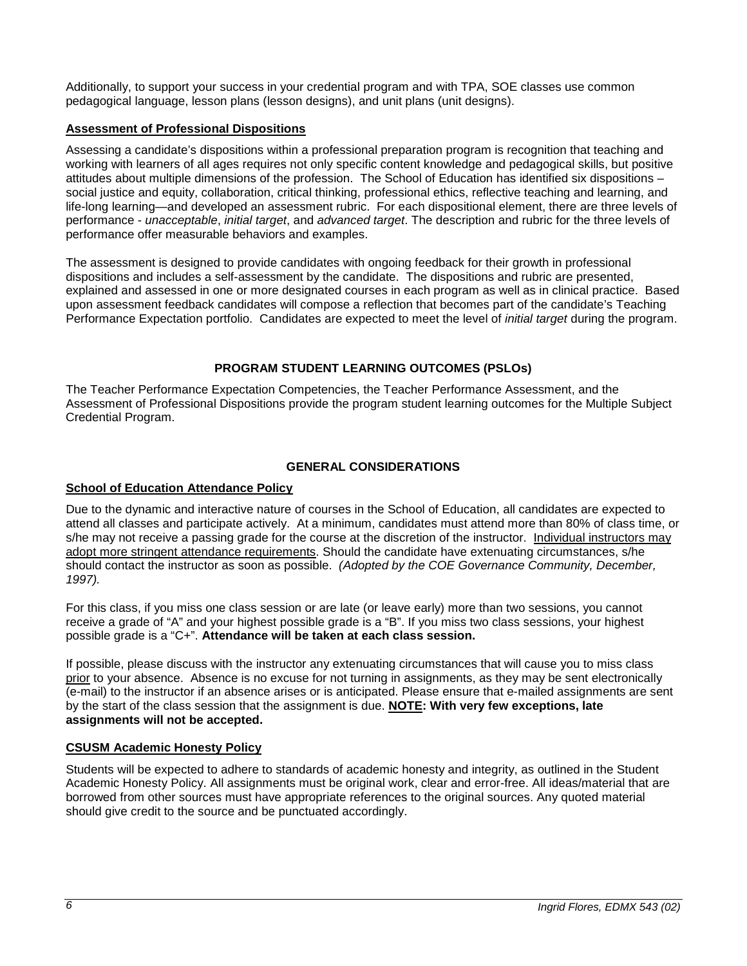Additionally, to support your success in your credential program and with TPA, SOE classes use common pedagogical language, lesson plans (lesson designs), and unit plans (unit designs).

# <span id="page-5-0"></span>**Assessment of Professional Dispositions**

Assessing a candidate's dispositions within a professional preparation program is recognition that teaching and working with learners of all ages requires not only specific content knowledge and pedagogical skills, but positive attitudes about multiple dimensions of the profession. The School of Education has identified six dispositions – social justice and equity, collaboration, critical thinking, professional ethics, reflective teaching and learning, and life-long learning—and developed an assessment rubric. For each dispositional element, there are three levels of performance - *unacceptable*, *initial target*, and *advanced target*. The description and rubric for the three levels of performance offer measurable behaviors and examples.

The assessment is designed to provide candidates with ongoing feedback for their growth in professional dispositions and includes a self-assessment by the candidate. The dispositions and rubric are presented, explained and assessed in one or more designated courses in each program as well as in clinical practice. Based upon assessment feedback candidates will compose a reflection that becomes part of the candidate's Teaching Performance Expectation portfolio. Candidates are expected to meet the level of *initial target* during the program.

# **PROGRAM STUDENT LEARNING OUTCOMES (PSLOs)**

<span id="page-5-1"></span>The Teacher Performance Expectation Competencies, the Teacher Performance Assessment, and the Assessment of Professional Dispositions provide the program student learning outcomes for the Multiple Subject Credential Program.

# **GENERAL CONSIDERATIONS**

## <span id="page-5-3"></span><span id="page-5-2"></span>**School of Education Attendance Policy**

Due to the dynamic and interactive nature of courses in the School of Education, all candidates are expected to attend all classes and participate actively. At a minimum, candidates must attend more than 80% of class time, or s/he may not receive a passing grade for the course at the discretion of the instructor. Individual instructors may adopt more stringent attendance requirements. Should the candidate have extenuating circumstances, s/he should contact the instructor as soon as possible. *(Adopted by the COE Governance Community, December, 1997).*

For this class, if you miss one class session or are late (or leave early) more than two sessions, you cannot receive a grade of "A" and your highest possible grade is a "B". If you miss two class sessions, your highest possible grade is a "C+". **Attendance will be taken at each class session.**

If possible, please discuss with the instructor any extenuating circumstances that will cause you to miss class prior to your absence. Absence is no excuse for not turning in assignments, as they may be sent electronically (e-mail) to the instructor if an absence arises or is anticipated. Please ensure that e-mailed assignments are sent by the start of the class session that the assignment is due. **NOTE: With very few exceptions, late assignments will not be accepted.**

# <span id="page-5-4"></span>**CSUSM Academic Honesty Policy**

Students will be expected to adhere to standards of academic honesty and integrity, as outlined in the Student Academic Honesty Policy. All assignments must be original work, clear and error-free. All ideas/material that are borrowed from other sources must have appropriate references to the original sources. Any quoted material should give credit to the source and be punctuated accordingly.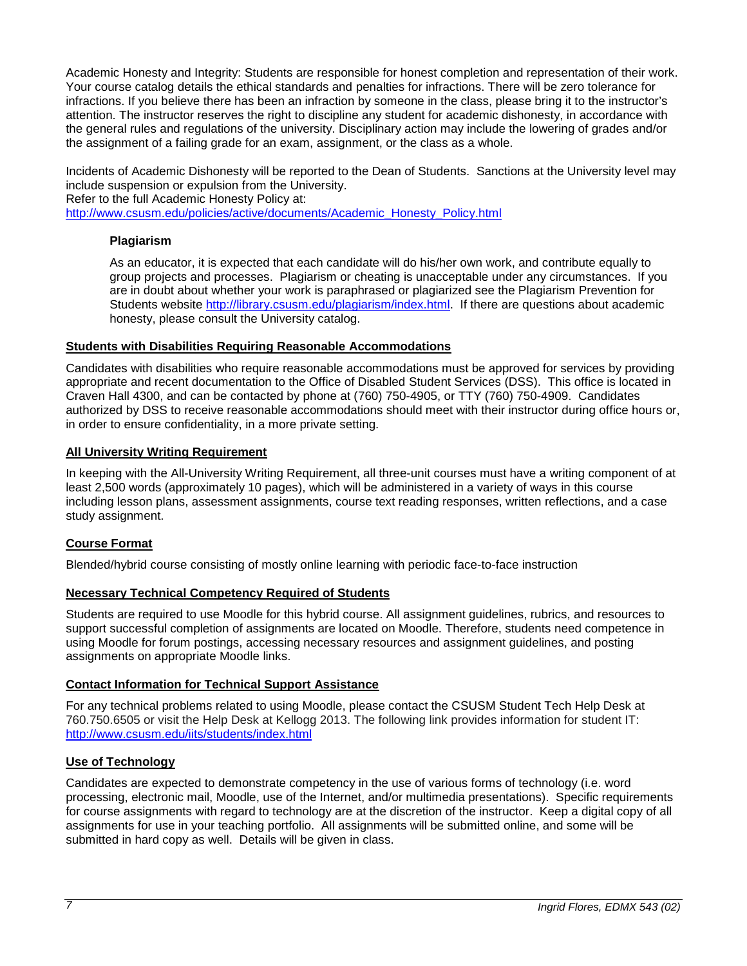Academic Honesty and Integrity: Students are responsible for honest completion and representation of their work. Your course catalog details the ethical standards and penalties for infractions. There will be zero tolerance for infractions. If you believe there has been an infraction by someone in the class, please bring it to the instructor's attention. The instructor reserves the right to discipline any student for academic dishonesty, in accordance with the general rules and regulations of the university. Disciplinary action may include the lowering of grades and/or the assignment of a failing grade for an exam, assignment, or the class as a whole.

Incidents of Academic Dishonesty will be reported to the Dean of Students. Sanctions at the University level may include suspension or expulsion from the University.

Refer to the full Academic Honesty Policy at:

<span id="page-6-0"></span>[http://www.csusm.edu/policies/active/documents/Academic\\_Honesty\\_Policy.html](http://www.csusm.edu/policies/active/documents/Academic_Honesty_Policy.html)

## **Plagiarism**

As an educator, it is expected that each candidate will do his/her own work, and contribute equally to group projects and processes. Plagiarism or cheating is unacceptable under any circumstances. If you are in doubt about whether your work is paraphrased or plagiarized see the Plagiarism Prevention for Students website [http://library.csusm.edu/plagiarism/index.html.](http://library.csusm.edu/plagiarism/index.html) If there are questions about academic honesty, please consult the University catalog.

### <span id="page-6-1"></span>**Students with Disabilities Requiring Reasonable Accommodations**

Candidates with disabilities who require reasonable accommodations must be approved for services by providing appropriate and recent documentation to the Office of Disabled Student Services (DSS). This office is located in Craven Hall 4300, and can be contacted by phone at (760) 750-4905, or TTY (760) 750-4909. Candidates authorized by DSS to receive reasonable accommodations should meet with their instructor during office hours or, in order to ensure confidentiality, in a more private setting.

### <span id="page-6-2"></span>**All University Writing Requirement**

In keeping with the All-University Writing Requirement, all three-unit courses must have a writing component of at least 2,500 words (approximately 10 pages), which will be administered in a variety of ways in this course including lesson plans, assessment assignments, course text reading responses, written reflections, and a case study assignment.

# <span id="page-6-3"></span>**Course Format**

Blended/hybrid course consisting of mostly online learning with periodic face-to-face instruction

# <span id="page-6-4"></span>**Necessary Technical Competency Required of Students**

Students are required to use Moodle for this hybrid course. All assignment guidelines, rubrics, and resources to support successful completion of assignments are located on Moodle. Therefore, students need competence in using Moodle for forum postings, accessing necessary resources and assignment guidelines, and posting assignments on appropriate Moodle links.

# <span id="page-6-5"></span>**Contact Information for Technical Support Assistance**

For any technical problems related to using Moodle, please contact the CSUSM Student Tech Help Desk at 760.750.6505 or visit the Help Desk at Kellogg 2013. The following link provides information for student IT: <http://www.csusm.edu/iits/students/index.html>

# <span id="page-6-6"></span>**Use of Technology**

Candidates are expected to demonstrate competency in the use of various forms of technology (i.e. word processing, electronic mail, Moodle, use of the Internet, and/or multimedia presentations). Specific requirements for course assignments with regard to technology are at the discretion of the instructor. Keep a digital copy of all assignments for use in your teaching portfolio. All assignments will be submitted online, and some will be submitted in hard copy as well. Details will be given in class.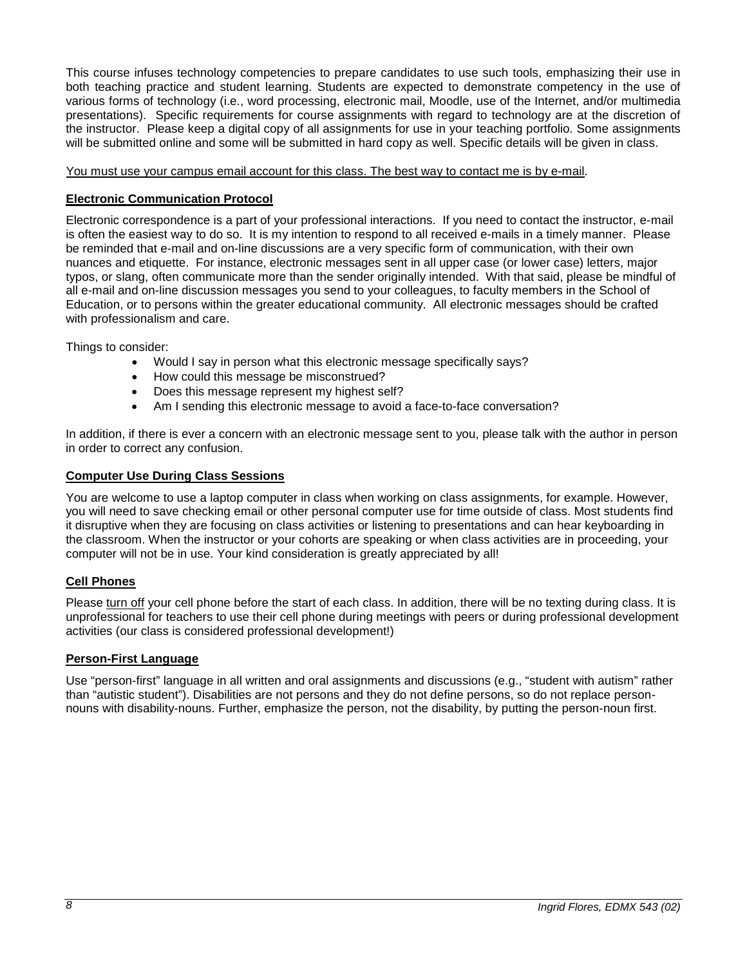This course infuses technology competencies to prepare candidates to use such tools, emphasizing their use in both teaching practice and student learning. Students are expected to demonstrate competency in the use of various forms of technology (i.e., word processing, electronic mail, Moodle, use of the Internet, and/or multimedia presentations). Specific requirements for course assignments with regard to technology are at the discretion of the instructor. Please keep a digital copy of all assignments for use in your teaching portfolio. Some assignments will be submitted online and some will be submitted in hard copy as well. Specific details will be given in class.

You must use your campus email account for this class. The best way to contact me is by e-mail.

# <span id="page-7-0"></span>**Electronic Communication Protocol**

Electronic correspondence is a part of your professional interactions. If you need to contact the instructor, e-mail is often the easiest way to do so. It is my intention to respond to all received e-mails in a timely manner. Please be reminded that e-mail and on-line discussions are a very specific form of communication, with their own nuances and etiquette. For instance, electronic messages sent in all upper case (or lower case) letters, major typos, or slang, often communicate more than the sender originally intended. With that said, please be mindful of all e-mail and on-line discussion messages you send to your colleagues, to faculty members in the School of Education, or to persons within the greater educational community. All electronic messages should be crafted with professionalism and care.

Things to consider:

- Would I say in person what this electronic message specifically says?
- How could this message be misconstrued?
- Does this message represent my highest self?
- Am I sending this electronic message to avoid a face-to-face conversation?

In addition, if there is ever a concern with an electronic message sent to you, please talk with the author in person in order to correct any confusion.

# <span id="page-7-1"></span>**Computer Use During Class Sessions**

You are welcome to use a laptop computer in class when working on class assignments, for example. However, you will need to save checking email or other personal computer use for time outside of class. Most students find it disruptive when they are focusing on class activities or listening to presentations and can hear keyboarding in the classroom. When the instructor or your cohorts are speaking or when class activities are in proceeding, your computer will not be in use. Your kind consideration is greatly appreciated by all!

# <span id="page-7-2"></span>**Cell Phones**

Please turn off your cell phone before the start of each class. In addition, there will be no texting during class. It is unprofessional for teachers to use their cell phone during meetings with peers or during professional development activities (our class is considered professional development!)

# <span id="page-7-3"></span>**Person-First Language**

Use "person-first" language in all written and oral assignments and discussions (e.g., "student with autism" rather than "autistic student"). Disabilities are not persons and they do not define persons, so do not replace personnouns with disability-nouns. Further, emphasize the person, not the disability, by putting the person-noun first.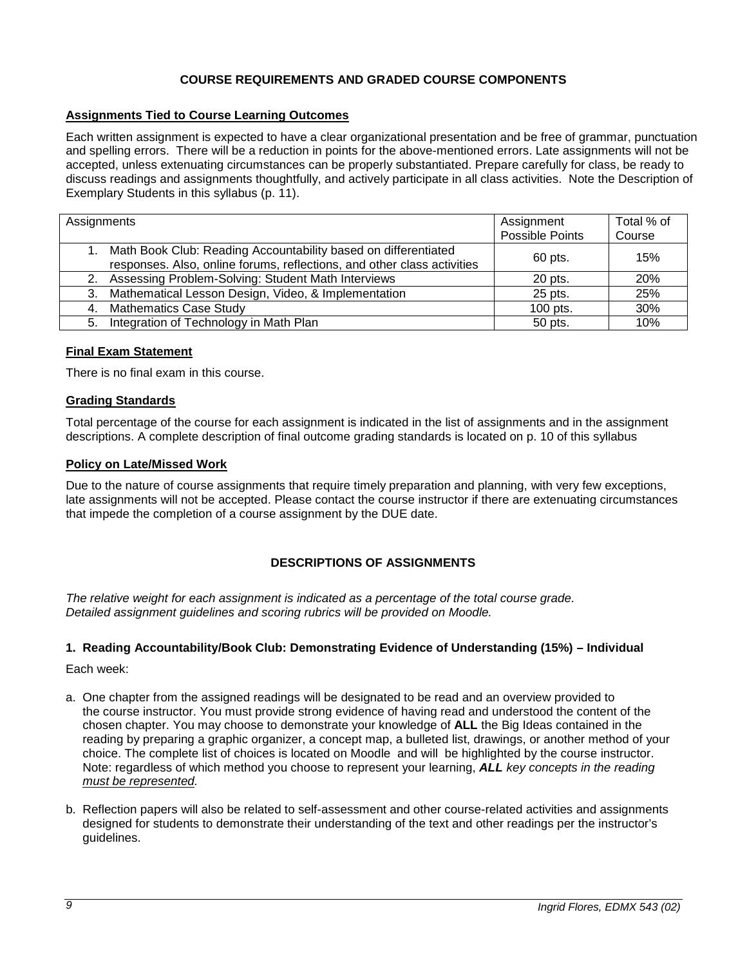# **COURSE REQUIREMENTS AND GRADED COURSE COMPONENTS**

# <span id="page-8-1"></span><span id="page-8-0"></span>**Assignments Tied to Course Learning Outcomes**

Each written assignment is expected to have a clear organizational presentation and be free of grammar, punctuation and spelling errors. There will be a reduction in points for the above-mentioned errors. Late assignments will not be accepted, unless extenuating circumstances can be properly substantiated. Prepare carefully for class, be ready to discuss readings and assignments thoughtfully, and actively participate in all class activities. Note the Description of Exemplary Students in this syllabus (p. 11).

| Assignments |                                                                                                                                              | Assignment<br>Possible Points | Total % of<br>Course |
|-------------|----------------------------------------------------------------------------------------------------------------------------------------------|-------------------------------|----------------------|
|             | 1. Math Book Club: Reading Accountability based on differentiated<br>responses. Also, online forums, reflections, and other class activities | 60 pts.                       | 15%                  |
|             | 2. Assessing Problem-Solving: Student Math Interviews                                                                                        | 20 pts.                       | 20%                  |
|             | 3. Mathematical Lesson Design, Video, & Implementation                                                                                       | 25 pts.                       | 25%                  |
|             | 4. Mathematics Case Study                                                                                                                    | 100 pts.                      | 30%                  |
|             | 5. Integration of Technology in Math Plan                                                                                                    | 50 pts.                       | 10%                  |

### <span id="page-8-2"></span>**Final Exam Statement**

There is no final exam in this course.

#### <span id="page-8-3"></span>**Grading Standards**

Total percentage of the course for each assignment is indicated in the list of assignments and in the assignment descriptions. A complete description of final outcome grading standards is located on p. 10 of this syllabus

#### <span id="page-8-4"></span>**Policy on Late/Missed Work**

Due to the nature of course assignments that require timely preparation and planning, with very few exceptions, late assignments will not be accepted. Please contact the course instructor if there are extenuating circumstances that impede the completion of a course assignment by the DUE date.

# **DESCRIPTIONS OF ASSIGNMENTS**

<span id="page-8-5"></span>*The relative weight for each assignment is indicated as a percentage of the total course grade. Detailed assignment guidelines and scoring rubrics will be provided on Moodle.*

#### <span id="page-8-6"></span>**1. Reading Accountability/Book Club: Demonstrating Evidence of Understanding (15%) – Individual**

Each week:

- a. One chapter from the assigned readings will be designated to be read and an overview provided to the course instructor. You must provide strong evidence of having read and understood the content of the chosen chapter. You may choose to demonstrate your knowledge of **ALL** the Big Ideas contained in the reading by preparing a graphic organizer, a concept map, a bulleted list, drawings, or another method of your choice. The complete list of choices is located on Moodle and will be highlighted by the course instructor. Note: regardless of which method you choose to represent your learning, *ALL key concepts in the reading must be represented.*
- b. Reflection papers will also be related to self-assessment and other course-related activities and assignments designed for students to demonstrate their understanding of the text and other readings per the instructor's guidelines.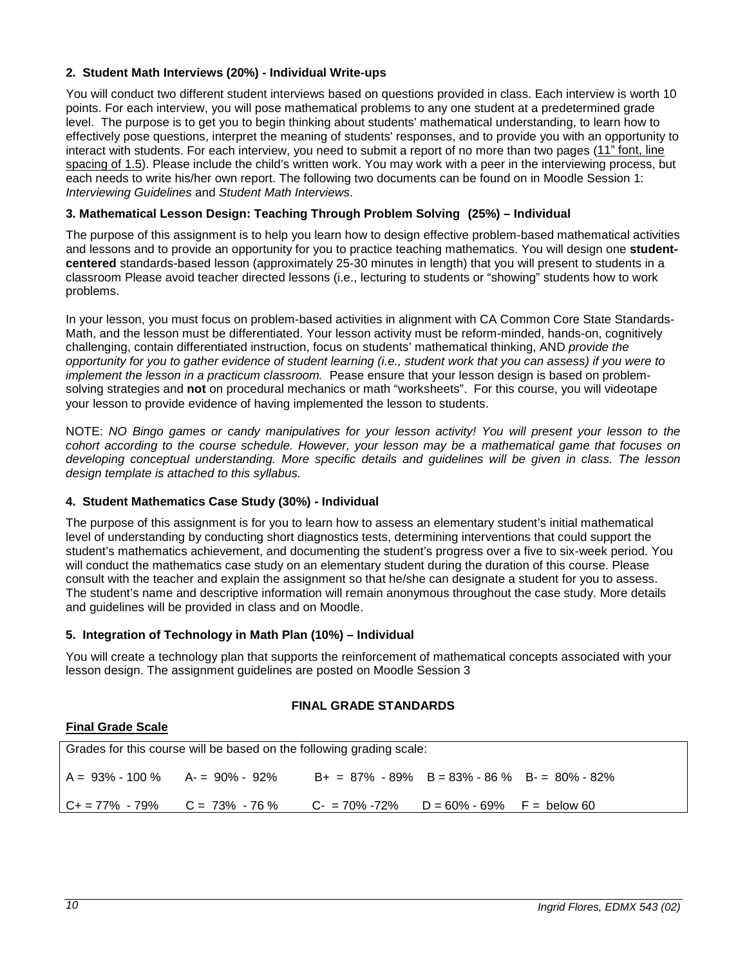# <span id="page-9-0"></span>**2. Student Math Interviews (20%) - Individual Write-ups**

You will conduct two different student interviews based on questions provided in class. Each interview is worth 10 points. For each interview, you will pose mathematical problems to any one student at a predetermined grade level. The purpose is to get you to begin thinking about students' mathematical understanding, to learn how to effectively pose questions, interpret the meaning of students' responses, and to provide you with an opportunity to interact with students. For each interview, you need to submit a report of no more than two pages (11" font, line spacing of 1.5). Please include the child's written work. You may work with a peer in the interviewing process, but each needs to write his/her own report. The following two documents can be found on in Moodle Session 1: *Interviewing Guidelines* and *Student Math Interviews*.

## <span id="page-9-1"></span>**3. Mathematical Lesson Design: Teaching Through Problem Solving (25%) – Individual**

The purpose of this assignment is to help you learn how to design effective problem-based mathematical activities and lessons and to provide an opportunity for you to practice teaching mathematics. You will design one **studentcentered** standards-based lesson (approximately 25-30 minutes in length) that you will present to students in a classroom Please avoid teacher directed lessons (i.e., lecturing to students or "showing" students how to work problems.

In your lesson, you must focus on problem-based activities in alignment with CA Common Core State Standards-Math, and the lesson must be differentiated. Your lesson activity must be reform-minded, hands-on, cognitively challenging, contain differentiated instruction, focus on students' mathematical thinking, AND *provide the opportunity for you to gather evidence of student learning (i.e., student work that you can assess) if you were to implement the lesson in a practicum classroom.* Pease ensure that your lesson design is based on problemsolving strategies and **not** on procedural mechanics or math "worksheets". For this course, you will videotape your lesson to provide evidence of having implemented the lesson to students.

NOTE: *NO Bingo games or candy manipulatives for your lesson activity! You will present your lesson to the cohort according to the course schedule. However, your lesson may be a mathematical game that focuses on developing conceptual understanding. More specific details and guidelines will be given in class. The lesson design template is attached to this syllabus.*

#### <span id="page-9-2"></span>**4. Student Mathematics Case Study (30%) - Individual**

The purpose of this assignment is for you to learn how to assess an elementary student's initial mathematical level of understanding by conducting short diagnostics tests, determining interventions that could support the student's mathematics achievement, and documenting the student's progress over a five to six-week period. You will conduct the mathematics case study on an elementary student during the duration of this course. Please consult with the teacher and explain the assignment so that he/she can designate a student for you to assess. The student's name and descriptive information will remain anonymous throughout the case study. More details and guidelines will be provided in class and on Moodle.

#### <span id="page-9-3"></span>**5. Integration of Technology in Math Plan (10%) – Individual**

You will create a technology plan that supports the reinforcement of mathematical concepts associated with your lesson design. The assignment guidelines are posted on Moodle Session 3

# **FINAL GRADE STANDARDS**

#### <span id="page-9-5"></span><span id="page-9-4"></span>**Final Grade Scale**

Grades for this course will be based on the following grading scale:  $A = 93\% - 100\%$   $A = 90\% - 92\%$   $B + = 87\% - 89\%$   $B = 83\% - 86\%$   $B - = 80\% - 82\%$ C+ = 77% - 79% C = 73% - 76 % C- = 70% -72% D = 60% - 69% F = below 60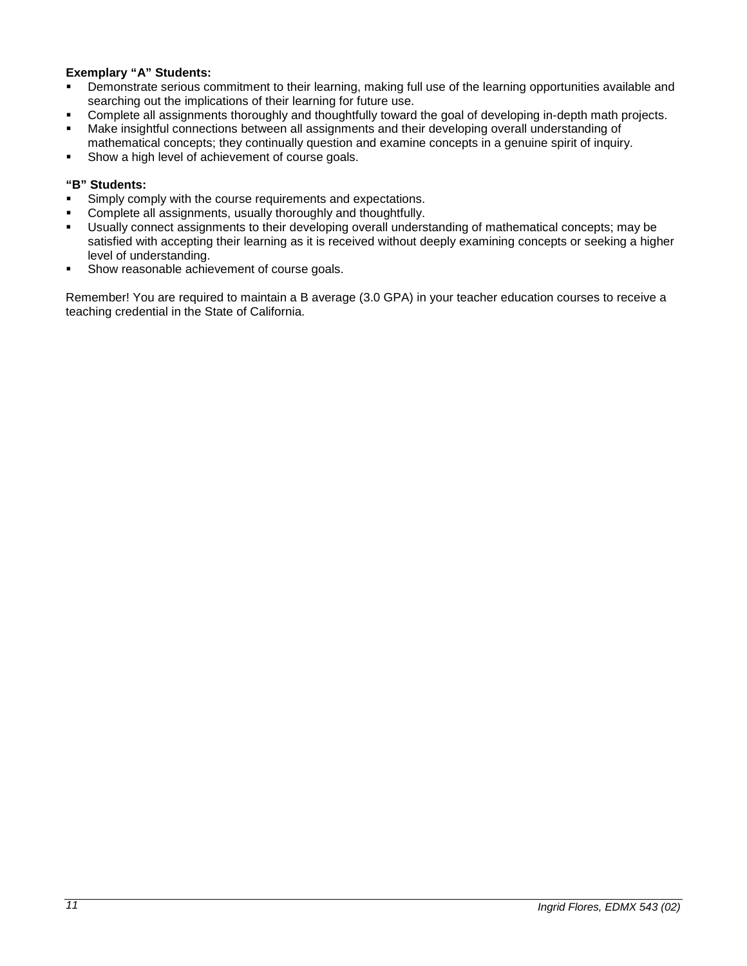# **Exemplary "A" Students:**

- Demonstrate serious commitment to their learning, making full use of the learning opportunities available and searching out the implications of their learning for future use.
- Complete all assignments thoroughly and thoughtfully toward the goal of developing in-depth math projects.
- Make insightful connections between all assignments and their developing overall understanding of mathematical concepts; they continually question and examine concepts in a genuine spirit of inquiry.
- Show a high level of achievement of course goals.

# **"B" Students:**

- Simply comply with the course requirements and expectations.
- Complete all assignments, usually thoroughly and thoughtfully.
- Usually connect assignments to their developing overall understanding of mathematical concepts; may be satisfied with accepting their learning as it is received without deeply examining concepts or seeking a higher level of understanding.
- Show reasonable achievement of course goals.

Remember! You are required to maintain a B average (3.0 GPA) in your teacher education courses to receive a teaching credential in the State of California.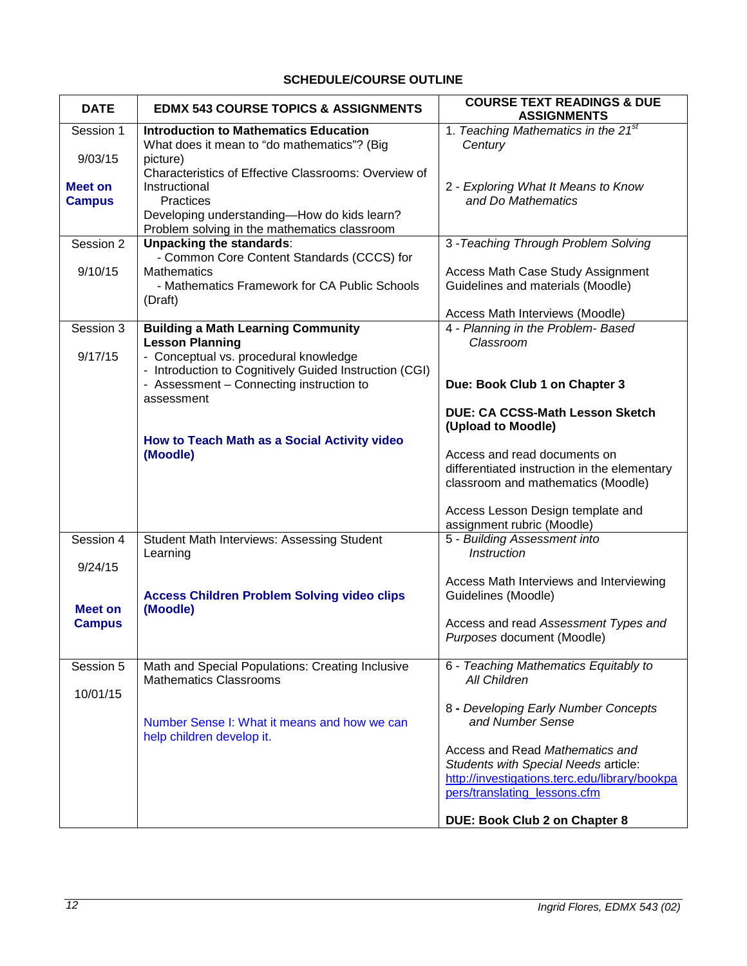# **SCHEDULE/COURSE OUTLINE**

<span id="page-11-0"></span>

| <b>DATE</b>    | <b>EDMX 543 COURSE TOPICS &amp; ASSIGNMENTS</b>                                 | <b>COURSE TEXT READINGS &amp; DUE</b><br><b>ASSIGNMENTS</b>                        |
|----------------|---------------------------------------------------------------------------------|------------------------------------------------------------------------------------|
| Session 1      | <b>Introduction to Mathematics Education</b>                                    | 1. Teaching Mathematics in the 21 <sup>st</sup>                                    |
| 9/03/15        | What does it mean to "do mathematics"? (Big                                     | Century                                                                            |
|                | picture)<br>Characteristics of Effective Classrooms: Overview of                |                                                                                    |
| <b>Meet on</b> | Instructional                                                                   | 2 - Exploring What It Means to Know                                                |
| <b>Campus</b>  | Practices                                                                       | and Do Mathematics                                                                 |
|                | Developing understanding-How do kids learn?                                     |                                                                                    |
| Session 2      | Problem solving in the mathematics classroom<br><b>Unpacking the standards:</b> | 3 - Teaching Through Problem Solving                                               |
|                | - Common Core Content Standards (CCCS) for                                      |                                                                                    |
| 9/10/15        | <b>Mathematics</b>                                                              | Access Math Case Study Assignment                                                  |
|                | - Mathematics Framework for CA Public Schools                                   | Guidelines and materials (Moodle)                                                  |
|                | (Draft)                                                                         |                                                                                    |
| Session 3      | <b>Building a Math Learning Community</b>                                       | Access Math Interviews (Moodle)<br>4 - Planning in the Problem-Based               |
|                | <b>Lesson Planning</b>                                                          | Classroom                                                                          |
| 9/17/15        | - Conceptual vs. procedural knowledge                                           |                                                                                    |
|                | - Introduction to Cognitively Guided Instruction (CGI)                          |                                                                                    |
|                | - Assessment - Connecting instruction to                                        | Due: Book Club 1 on Chapter 3                                                      |
|                | assessment                                                                      | <b>DUE: CA CCSS-Math Lesson Sketch</b>                                             |
|                |                                                                                 | (Upload to Moodle)                                                                 |
|                | How to Teach Math as a Social Activity video                                    |                                                                                    |
|                | (Moodle)                                                                        | Access and read documents on                                                       |
|                |                                                                                 | differentiated instruction in the elementary<br>classroom and mathematics (Moodle) |
|                |                                                                                 |                                                                                    |
|                |                                                                                 | Access Lesson Design template and                                                  |
|                |                                                                                 | assignment rubric (Moodle)                                                         |
| Session 4      | <b>Student Math Interviews: Assessing Student</b>                               | 5 - Building Assessment into                                                       |
| 9/24/15        | Learning                                                                        | <b>Instruction</b>                                                                 |
|                |                                                                                 | Access Math Interviews and Interviewing                                            |
|                | <b>Access Children Problem Solving video clips</b>                              | Guidelines (Moodle)                                                                |
| <b>Meet on</b> | (Moodle)                                                                        |                                                                                    |
| <b>Campus</b>  |                                                                                 | Access and read Assessment Types and                                               |
|                |                                                                                 | Purposes document (Moodle)                                                         |
| Session 5      | Math and Special Populations: Creating Inclusive                                | 6 - Teaching Mathematics Equitably to                                              |
|                | <b>Mathematics Classrooms</b>                                                   | All Children                                                                       |
| 10/01/15       |                                                                                 |                                                                                    |
|                | Number Sense I: What it means and how we can                                    | 8 - Developing Early Number Concepts<br>and Number Sense                           |
|                | help children develop it.                                                       |                                                                                    |
|                |                                                                                 | Access and Read Mathematics and                                                    |
|                |                                                                                 | Students with Special Needs article:                                               |
|                |                                                                                 | http://investigations.terc.edu/library/bookpa<br>pers/translating_lessons.cfm      |
|                |                                                                                 |                                                                                    |
|                |                                                                                 | DUE: Book Club 2 on Chapter 8                                                      |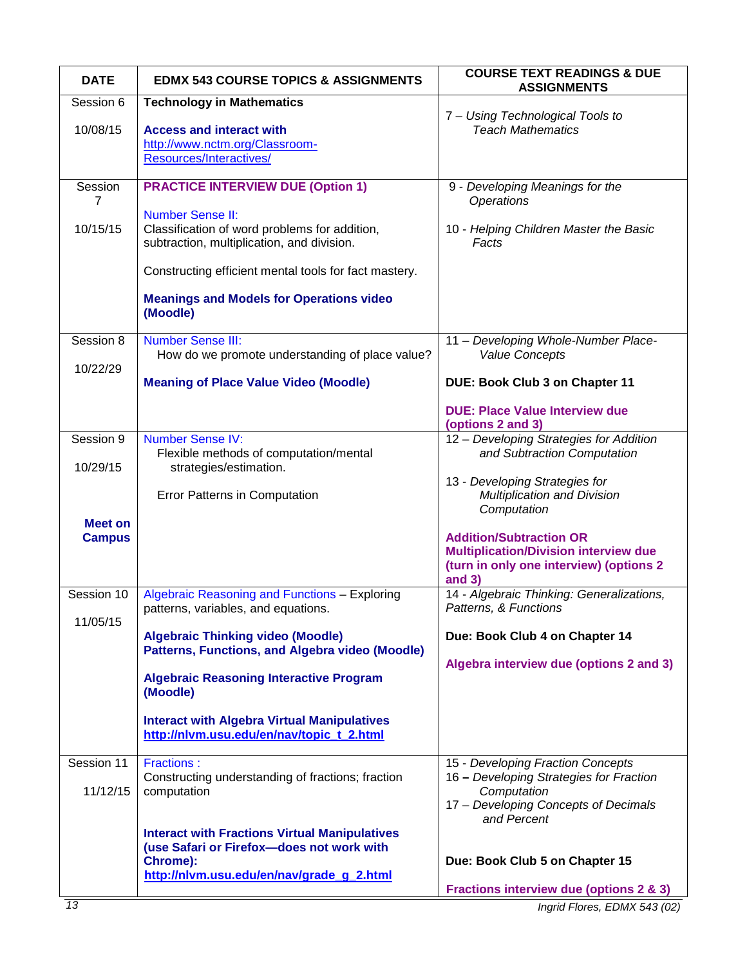| <b>DATE</b>                     | <b>EDMX 543 COURSE TOPICS &amp; ASSIGNMENTS</b>                                                                        | <b>COURSE TEXT READINGS &amp; DUE</b><br><b>ASSIGNMENTS</b>                                                                         |
|---------------------------------|------------------------------------------------------------------------------------------------------------------------|-------------------------------------------------------------------------------------------------------------------------------------|
| Session 6                       | <b>Technology in Mathematics</b>                                                                                       |                                                                                                                                     |
| 10/08/15                        | <b>Access and interact with</b><br>http://www.nctm.org/Classroom-<br>Resources/Interactives/                           | 7 - Using Technological Tools to<br><b>Teach Mathematics</b>                                                                        |
| Session<br>7                    | <b>PRACTICE INTERVIEW DUE (Option 1)</b>                                                                               | 9 - Developing Meanings for the<br><b>Operations</b>                                                                                |
| 10/15/15                        | <b>Number Sense II:</b><br>Classification of word problems for addition,<br>subtraction, multiplication, and division. | 10 - Helping Children Master the Basic<br>Facts                                                                                     |
|                                 | Constructing efficient mental tools for fact mastery.                                                                  |                                                                                                                                     |
|                                 | <b>Meanings and Models for Operations video</b><br>(Moodle)                                                            |                                                                                                                                     |
| Session 8                       | <b>Number Sense III:</b>                                                                                               | 11 - Developing Whole-Number Place-                                                                                                 |
| 10/22/29                        | How do we promote understanding of place value?                                                                        | <b>Value Concepts</b>                                                                                                               |
|                                 | <b>Meaning of Place Value Video (Moodle)</b>                                                                           | DUE: Book Club 3 on Chapter 11                                                                                                      |
|                                 |                                                                                                                        | <b>DUE: Place Value Interview due</b><br>(options 2 and 3)                                                                          |
| Session 9                       | <b>Number Sense IV:</b><br>Flexible methods of computation/mental                                                      | 12 - Developing Strategies for Addition<br>and Subtraction Computation                                                              |
| 10/29/15                        | strategies/estimation.                                                                                                 | 13 - Developing Strategies for                                                                                                      |
|                                 | Error Patterns in Computation                                                                                          | Multiplication and Division<br>Computation                                                                                          |
| <b>Meet on</b><br><b>Campus</b> |                                                                                                                        | <b>Addition/Subtraction OR</b><br><b>Multiplication/Division interview due</b><br>(turn in only one interview) (options 2<br>and 3) |
| Session 10                      | Algebraic Reasoning and Functions - Exploring                                                                          | 14 - Algebraic Thinking: Generalizations,                                                                                           |
| 11/05/15                        | patterns, variables, and equations.                                                                                    | Patterns, & Functions                                                                                                               |
|                                 | <b>Algebraic Thinking video (Moodle)</b><br><b>Patterns, Functions, and Algebra video (Moodle)</b>                     | Due: Book Club 4 on Chapter 14                                                                                                      |
|                                 | <b>Algebraic Reasoning Interactive Program</b><br>(Moodle)                                                             | Algebra interview due (options 2 and 3)                                                                                             |
|                                 | <b>Interact with Algebra Virtual Manipulatives</b><br>http://nlvm.usu.edu/en/nav/topic t 2.html                        |                                                                                                                                     |
| Session 11                      | <b>Fractions:</b>                                                                                                      | 15 - Developing Fraction Concepts                                                                                                   |
| 11/12/15                        | Constructing understanding of fractions; fraction<br>computation                                                       | 16 - Developing Strategies for Fraction<br>Computation<br>17 - Developing Concepts of Decimals<br>and Percent                       |
|                                 | <b>Interact with Fractions Virtual Manipulatives</b><br>(use Safari or Firefox-does not work with                      |                                                                                                                                     |
|                                 | Chrome):<br>http://nlvm.usu.edu/en/nav/grade_g_2.html                                                                  | Due: Book Club 5 on Chapter 15                                                                                                      |
|                                 |                                                                                                                        | <b>Fractions interview due (options 2 &amp; 3)</b>                                                                                  |
| 13                              |                                                                                                                        | Ingrid Flores, EDMX 543 (02)                                                                                                        |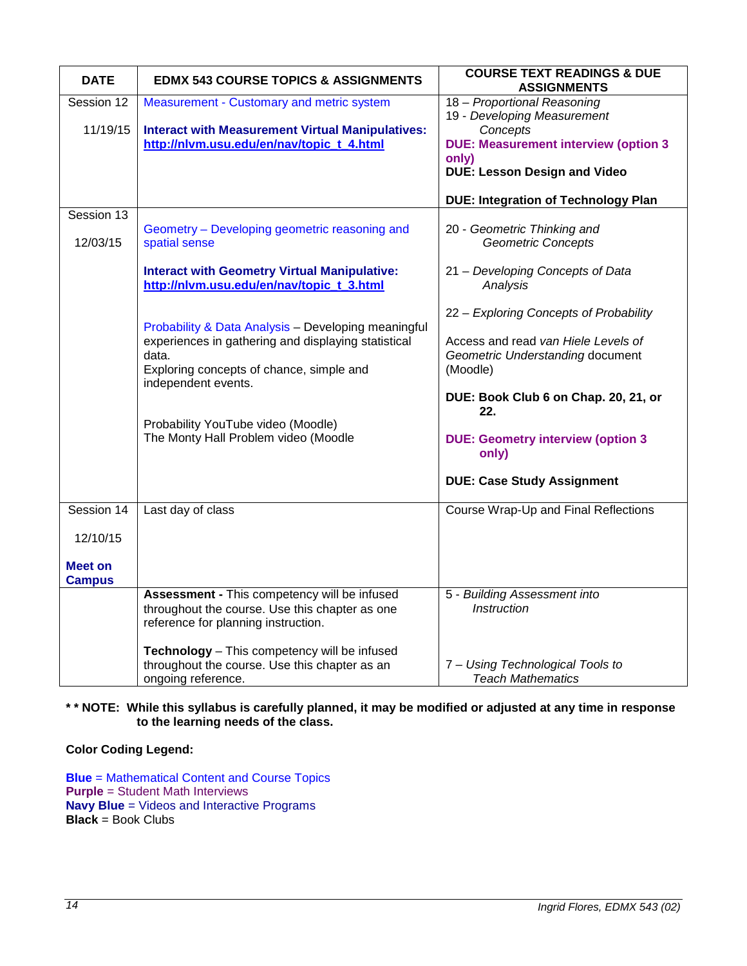| <b>DATE</b>    | <b>EDMX 543 COURSE TOPICS &amp; ASSIGNMENTS</b>                                                | <b>COURSE TEXT READINGS &amp; DUE</b><br><b>ASSIGNMENTS</b> |
|----------------|------------------------------------------------------------------------------------------------|-------------------------------------------------------------|
| Session 12     | Measurement - Customary and metric system                                                      | 18 - Proportional Reasoning                                 |
| 11/19/15       | <b>Interact with Measurement Virtual Manipulatives:</b>                                        | 19 - Developing Measurement<br>Concepts                     |
|                | http://nlvm.usu.edu/en/nav/topic_t_4.html                                                      | <b>DUE: Measurement interview (option 3</b>                 |
|                |                                                                                                | only)                                                       |
|                |                                                                                                | <b>DUE: Lesson Design and Video</b>                         |
|                |                                                                                                | <b>DUE: Integration of Technology Plan</b>                  |
| Session 13     |                                                                                                |                                                             |
| 12/03/15       | Geometry - Developing geometric reasoning and<br>spatial sense                                 | 20 - Geometric Thinking and<br><b>Geometric Concepts</b>    |
|                |                                                                                                |                                                             |
|                | <b>Interact with Geometry Virtual Manipulative:</b>                                            | 21 - Developing Concepts of Data                            |
|                | http://nlvm.usu.edu/en/nav/topic_t_3.html                                                      | Analysis                                                    |
|                |                                                                                                | 22 - Exploring Concepts of Probability                      |
|                | Probability & Data Analysis - Developing meaningful                                            |                                                             |
|                | experiences in gathering and displaying statistical                                            | Access and read van Hiele Levels of                         |
|                | data.                                                                                          | Geometric Understanding document                            |
|                | Exploring concepts of chance, simple and<br>independent events.                                | (Moodle)                                                    |
|                |                                                                                                | DUE: Book Club 6 on Chap. 20, 21, or<br>22.                 |
|                | Probability YouTube video (Moodle)                                                             |                                                             |
|                | The Monty Hall Problem video (Moodle                                                           | <b>DUE: Geometry interview (option 3</b><br>only)           |
|                |                                                                                                | <b>DUE: Case Study Assignment</b>                           |
| Session 14     | Last day of class                                                                              | Course Wrap-Up and Final Reflections                        |
| 12/10/15       |                                                                                                |                                                             |
|                |                                                                                                |                                                             |
| <b>Meet on</b> |                                                                                                |                                                             |
| <b>Campus</b>  |                                                                                                |                                                             |
|                | Assessment - This competency will be infused<br>throughout the course. Use this chapter as one | 5 - Building Assessment into<br><b>Instruction</b>          |
|                | reference for planning instruction.                                                            |                                                             |
|                |                                                                                                |                                                             |
|                | Technology - This competency will be infused                                                   |                                                             |
|                | throughout the course. Use this chapter as an                                                  | 7 - Using Technological Tools to                            |
|                | ongoing reference.                                                                             | <b>Teach Mathematics</b>                                    |

# **\* \* NOTE: While this syllabus is carefully planned, it may be modified or adjusted at any time in response to the learning needs of the class.**

# **Color Coding Legend:**

**Blue** = Mathematical Content and Course Topics **Purple** = Student Math Interviews **Navy Blue** = Videos and Interactive Programs **Black** = Book Clubs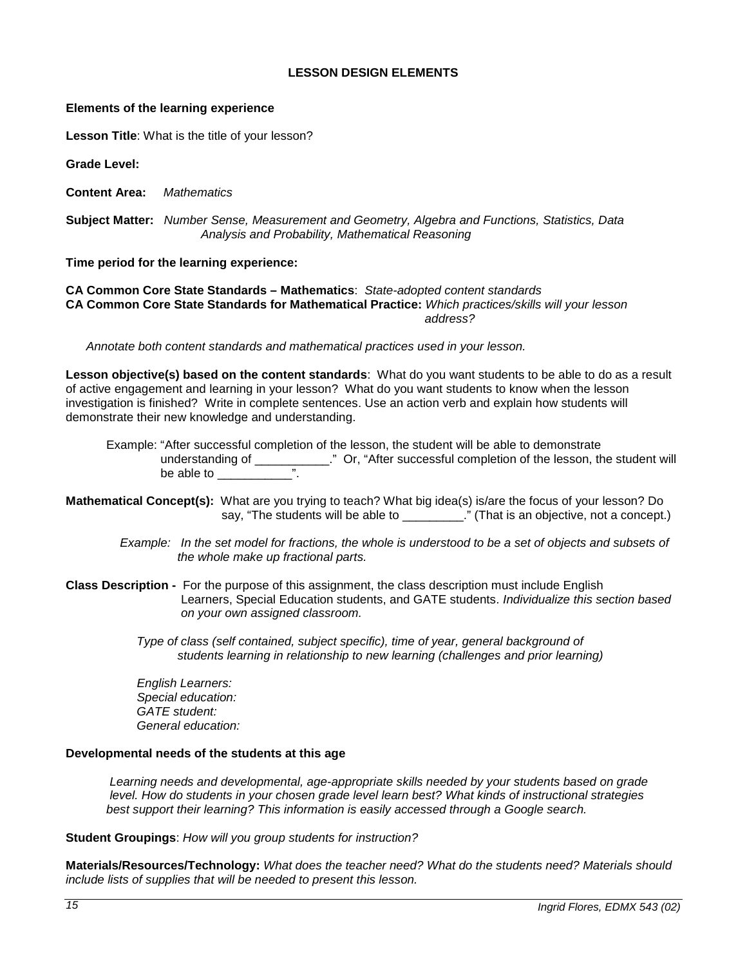### **LESSON DESIGN ELEMENTS**

#### <span id="page-14-0"></span>**Elements of the learning experience**

**Lesson Title**: What is the title of your lesson?

**Grade Level:**

**Content Area:** *Mathematics*

**Subject Matter:** *Number Sense, Measurement and Geometry, Algebra and Functions, Statistics, Data Analysis and Probability, Mathematical Reasoning*

#### **Time period for the learning experience:**

**CA Common Core State Standards – Mathematics**: *State-adopted content standards* **CA Common Core State Standards for Mathematical Practice:** *Which practices/skills will your lesson address?*

 *Annotate both content standards and mathematical practices used in your lesson.*

**Lesson objective(s) based on the content standards**: What do you want students to be able to do as a result of active engagement and learning in your lesson? What do you want students to know when the lesson investigation is finished? Write in complete sentences. Use an action verb and explain how students will demonstrate their new knowledge and understanding.

 Example: "After successful completion of the lesson, the student will be able to demonstrate understanding of \_\_\_\_\_\_\_\_\_\_\_\_\_." Or, "After successful completion of the lesson, the student will be able to be able to  $\overline{\phantom{a}}$ 

- **Mathematical Concept(s):** What are you trying to teach? What big idea(s) is/are the focus of your lesson? Do say, "The students will be able to \_\_\_\_\_\_\_\_\_." (That is an objective, not a concept.)
	- *Example: In the set model for fractions, the whole is understood to be a set of objects and subsets of the whole make up fractional parts.*
- **Class Description** For the purpose of this assignment, the class description must include English Learners, Special Education students, and GATE students. *Individualize this section based on your own assigned classroom.*

 *Type of class (self contained, subject specific), time of year, general background of students learning in relationship to new learning (challenges and prior learning)*

 *English Learners: Special education: GATE student: General education:* 

#### **Developmental needs of the students at this age**

*Learning needs and developmental, age-appropriate skills needed by your students based on grade level. How do students in your chosen grade level learn best? What kinds of instructional strategies best support their learning? This information is easily accessed through a Google search.*

#### **Student Groupings**: *How will you group students for instruction?*

**Materials/Resources/Technology:** *What does the teacher need? What do the students need? Materials should include lists of supplies that will be needed to present this lesson.*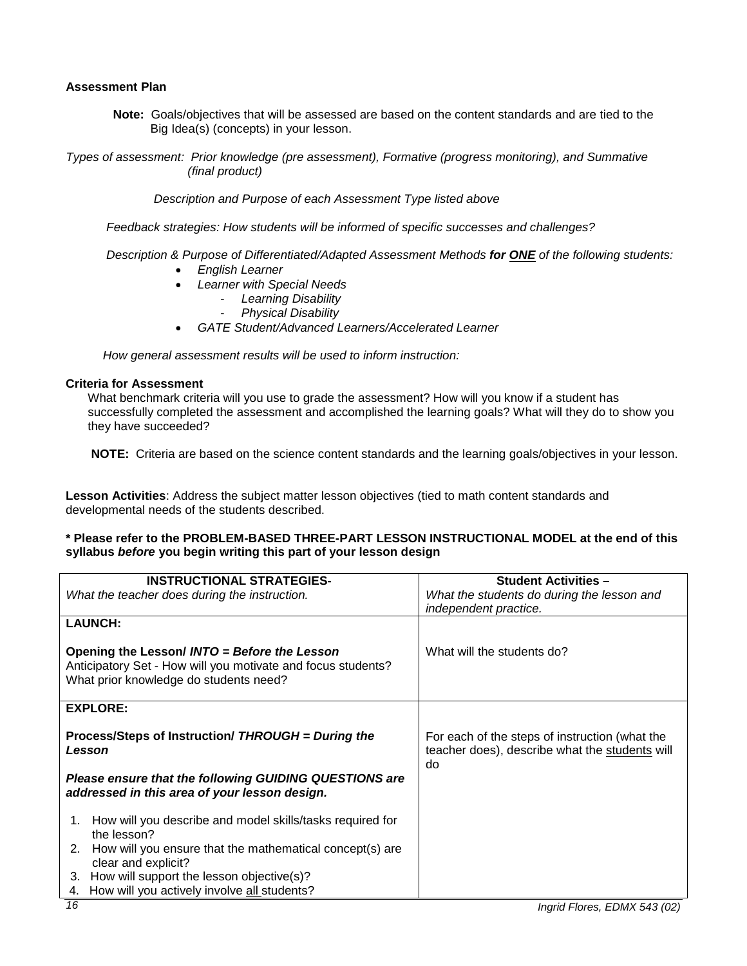#### **Assessment Plan**

**Note:** Goals/objectives that will be assessed are based on the content standards and are tied to the Big Idea(s) (concepts) in your lesson.

*Types of assessment: Prior knowledge (pre assessment), Formative (progress monitoring), and Summative (final product)*

 *Description and Purpose of each Assessment Type listed above* 

 *Feedback strategies: How students will be informed of specific successes and challenges?*

#### *Description & Purpose of Differentiated/Adapted Assessment Methods for ONE of the following students:*

- *English Learner*
- *Learner with Special Needs*
	- *Learning Disability*
	- *Physical Disability*
- *GATE Student/Advanced Learners/Accelerated Learner*

 *How general assessment results will be used to inform instruction:*

#### **Criteria for Assessment**

What benchmark criteria will you use to grade the assessment? How will you know if a student has successfully completed the assessment and accomplished the learning goals? What will they do to show you they have succeeded?

**NOTE:** Criteria are based on the science content standards and the learning goals/objectives in your lesson.

**Lesson Activities**: Address the subject matter lesson objectives (tied to math content standards and developmental needs of the students described.

#### **\* Please refer to the PROBLEM-BASED THREE-PART LESSON INSTRUCTIONAL MODEL at the end of this syllabus** *before* **you begin writing this part of your lesson design**

| <b>INSTRUCTIONAL STRATEGIES-</b>                                                                                                                       | <b>Student Activities -</b>                                                                            |
|--------------------------------------------------------------------------------------------------------------------------------------------------------|--------------------------------------------------------------------------------------------------------|
| What the teacher does during the instruction.                                                                                                          | What the students do during the lesson and<br>independent practice.                                    |
| <b>LAUNCH:</b>                                                                                                                                         |                                                                                                        |
| Opening the Lesson/ INTO = Before the Lesson<br>Anticipatory Set - How will you motivate and focus students?<br>What prior knowledge do students need? | What will the students do?                                                                             |
| <b>EXPLORE:</b>                                                                                                                                        |                                                                                                        |
| Process/Steps of Instruction/ THROUGH = During the<br>Lesson                                                                                           | For each of the steps of instruction (what the<br>teacher does), describe what the students will<br>do |
| Please ensure that the following GUIDING QUESTIONS are<br>addressed in this area of your lesson design.                                                |                                                                                                        |
| How will you describe and model skills/tasks required for<br>1.<br>the lesson?                                                                         |                                                                                                        |
| How will you ensure that the mathematical concept(s) are<br>2.<br>clear and explicit?                                                                  |                                                                                                        |
| 3. How will support the lesson objective(s)?                                                                                                           |                                                                                                        |
| How will you actively involve all students?<br>4.                                                                                                      |                                                                                                        |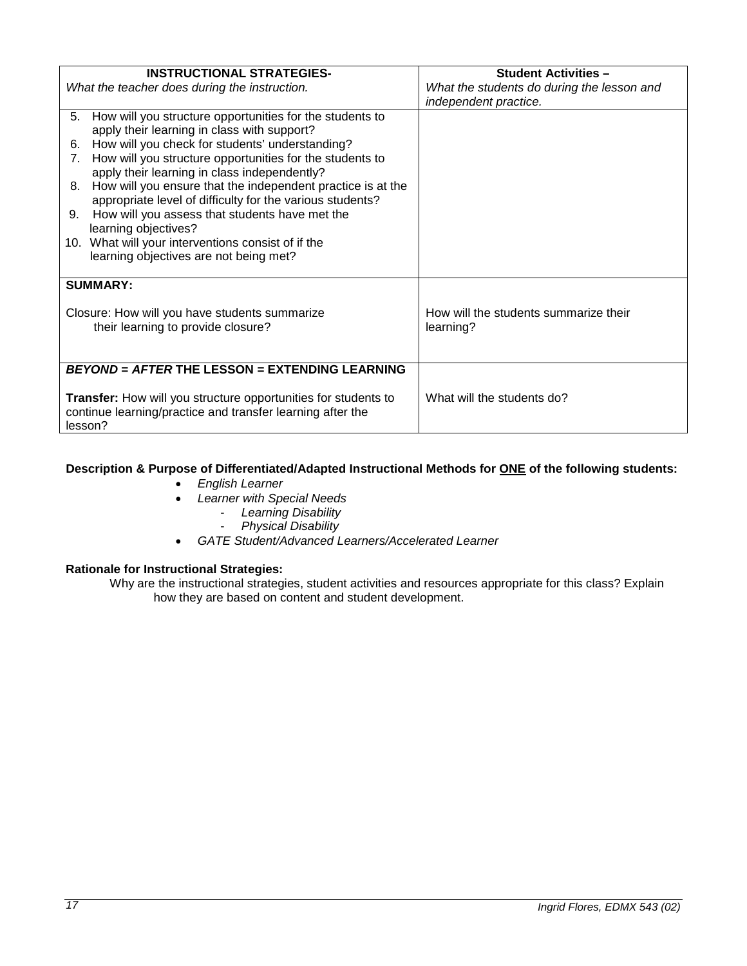| <b>INSTRUCTIONAL STRATEGIES-</b>                                                           | <b>Student Activities -</b>                |
|--------------------------------------------------------------------------------------------|--------------------------------------------|
| What the teacher does during the instruction.                                              | What the students do during the lesson and |
|                                                                                            | independent practice.                      |
| How will you structure opportunities for the students to<br>5.                             |                                            |
| apply their learning in class with support?                                                |                                            |
| How will you check for students' understanding?<br>6.                                      |                                            |
| How will you structure opportunities for the students to<br>$7_{\scriptscriptstyle{\sim}}$ |                                            |
| apply their learning in class independently?                                               |                                            |
| How will you ensure that the independent practice is at the<br>8.                          |                                            |
| appropriate level of difficulty for the various students?                                  |                                            |
| How will you assess that students have met the<br>9.                                       |                                            |
| learning objectives?                                                                       |                                            |
| 10. What will your interventions consist of if the                                         |                                            |
| learning objectives are not being met?                                                     |                                            |
|                                                                                            |                                            |
| <b>SUMMARY:</b>                                                                            |                                            |
|                                                                                            |                                            |
| Closure: How will you have students summarize                                              | How will the students summarize their      |
| their learning to provide closure?                                                         | learning?                                  |
|                                                                                            |                                            |
|                                                                                            |                                            |
| BEYOND = AFTER THE LESSON = EXTENDING LEARNING                                             |                                            |
|                                                                                            | What will the students do?                 |
| Transfer: How will you structure opportunities for students to                             |                                            |
| continue learning/practice and transfer learning after the<br>lesson?                      |                                            |
|                                                                                            |                                            |

# **Description & Purpose of Differentiated/Adapted Instructional Methods for ONE of the following students:**

- *English Learner*
- *Learner with Special Needs*
	- *Learning Disability*
		- *Physical Disability*
- *GATE Student/Advanced Learners/Accelerated Learner*

# **Rationale for Instructional Strategies:**

Why are the instructional strategies, student activities and resources appropriate for this class? Explain how they are based on content and student development.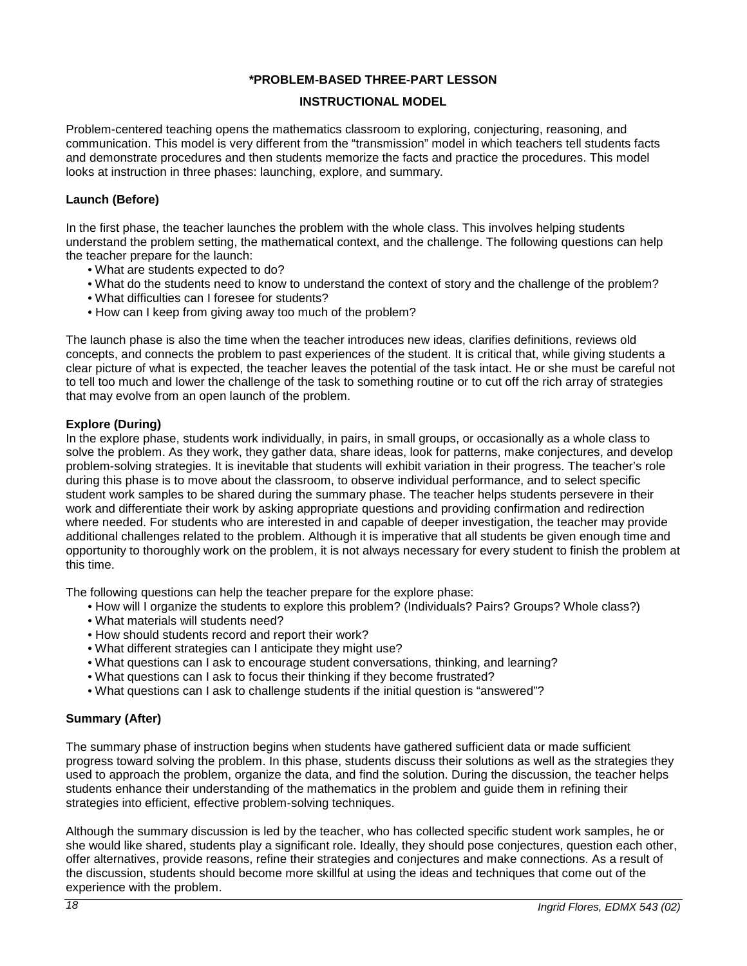## **\*PROBLEM-BASED THREE-PART LESSON**

## **INSTRUCTIONAL MODEL**

<span id="page-17-0"></span>Problem-centered teaching opens the mathematics classroom to exploring, conjecturing, reasoning, and communication. This model is very different from the "transmission" model in which teachers tell students facts and demonstrate procedures and then students memorize the facts and practice the procedures. This model looks at instruction in three phases: launching, explore, and summary.

### **Launch (Before)**

In the first phase, the teacher launches the problem with the whole class. This involves helping students understand the problem setting, the mathematical context, and the challenge. The following questions can help the teacher prepare for the launch:

- What are students expected to do?
- What do the students need to know to understand the context of story and the challenge of the problem?
- What difficulties can I foresee for students?
- How can I keep from giving away too much of the problem?

The launch phase is also the time when the teacher introduces new ideas, clarifies definitions, reviews old concepts, and connects the problem to past experiences of the student. It is critical that, while giving students a clear picture of what is expected, the teacher leaves the potential of the task intact. He or she must be careful not to tell too much and lower the challenge of the task to something routine or to cut off the rich array of strategies that may evolve from an open launch of the problem.

### **Explore (During)**

In the explore phase, students work individually, in pairs, in small groups, or occasionally as a whole class to solve the problem. As they work, they gather data, share ideas, look for patterns, make conjectures, and develop problem-solving strategies. It is inevitable that students will exhibit variation in their progress. The teacher's role during this phase is to move about the classroom, to observe individual performance, and to select specific student work samples to be shared during the summary phase. The teacher helps students persevere in their work and differentiate their work by asking appropriate questions and providing confirmation and redirection where needed. For students who are interested in and capable of deeper investigation, the teacher may provide additional challenges related to the problem. Although it is imperative that all students be given enough time and opportunity to thoroughly work on the problem, it is not always necessary for every student to finish the problem at this time.

The following questions can help the teacher prepare for the explore phase:

- How will I organize the students to explore this problem? (Individuals? Pairs? Groups? Whole class?)
- What materials will students need?
- How should students record and report their work?
- What different strategies can I anticipate they might use?
- What questions can I ask to encourage student conversations, thinking, and learning?
- What questions can I ask to focus their thinking if they become frustrated?
- What questions can I ask to challenge students if the initial question is "answered"?

# **Summary (After)**

The summary phase of instruction begins when students have gathered sufficient data or made sufficient progress toward solving the problem. In this phase, students discuss their solutions as well as the strategies they used to approach the problem, organize the data, and find the solution. During the discussion, the teacher helps students enhance their understanding of the mathematics in the problem and guide them in refining their strategies into efficient, effective problem-solving techniques.

Although the summary discussion is led by the teacher, who has collected specific student work samples, he or she would like shared, students play a significant role. Ideally, they should pose conjectures, question each other, offer alternatives, provide reasons, refine their strategies and conjectures and make connections. As a result of the discussion, students should become more skillful at using the ideas and techniques that come out of the experience with the problem.